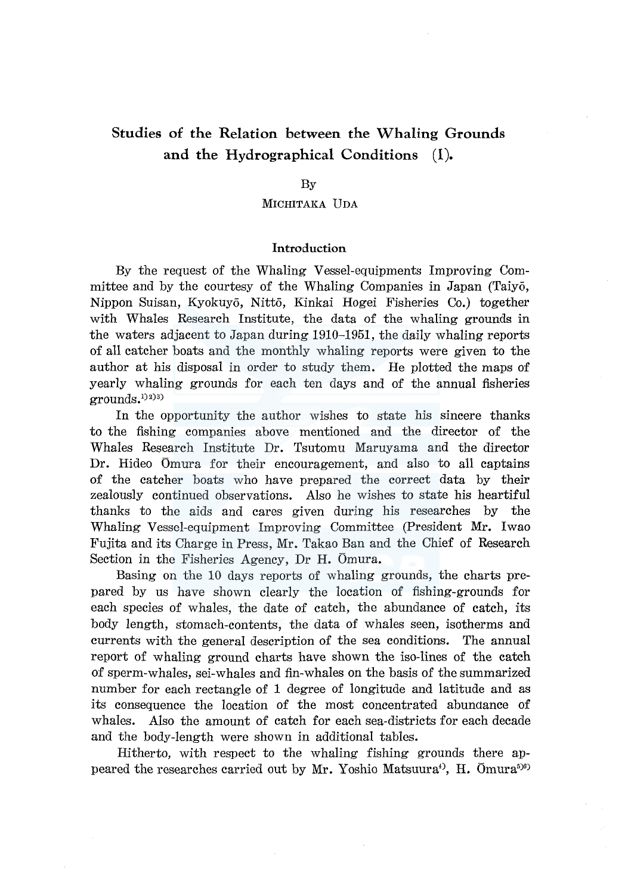# **Studies of the Relation between the Whaling Grounds and the Hydrographical Conditions (I).**

### By

# MICHITAKA UDA

# **Introduction**

By the request of the Whaling Vessel-equipments Improving Committee and by the courtesy of the Whaling Companies in Japan (Taiyo, Nippon Suisan, Kyokuyo, Nitto, Kinkai Hogei Fisheries Co.) together with Whales Research Institute, the data of the whaling grounds in the waters adjacent to Japan during 1910-1951, the daily whaling reports of all catcher boats and the monthly whaling reports were given to the author at his disposal in order to study them. He plotted the maps of yearly whaling grounds for each ten days and of the annual fisheries  $\rm{grounds.}^{\rm{1)}^{\rm{2}}^{\rm{3}}^{\rm{3}}$ 

In the opportunity the author wishes to state his sincere thanks to the fishing companies above mentioned and the director of the Whales Research Institute Dr. Tsutomu Maruyama and the director Dr. Hideo Omura for their encouragement, and also to all captains of the catcher boats who have prepared the correct data by their zealously continued observations. Also he wishes to state his heartiful thanks to the aids and cares given during his researches by the Whaling Vessel-equipment Improving Committee (President Mr. Iwao Fujita and its Charge in Press, Mr. Takao Ban and the Chief of Research Section in the Fisheries Agency, Dr **H.** Omura.

Basing on the 10 days reports of whaling grounds, the charts prepared by us have shown clearly the location of fishing-grounds for each species of whales, the date of catch, the abundance of catch, its body length, stomach-contents, the data of whales seen, isotherms and currents with the general description of the sea conditions. The annual report of whaling ground charts have shown the iso-lines of the catch of sperm-whales, sei-whales and fin-whales on the basis of the summarized number for each rectangle of 1 degree of longitude and latitude and as its consequence the location of the most concentrated abunaance of whales. Also the amount of catch for each sea-districts for each decade and the body-length were shown in additional tables.

Hitherto, with respect to the whaling fishing grounds there appeared the researches carried out by Mr. Yoshio Matsuura<sup>4)</sup>, H. Ōmura<sup>598)</sup>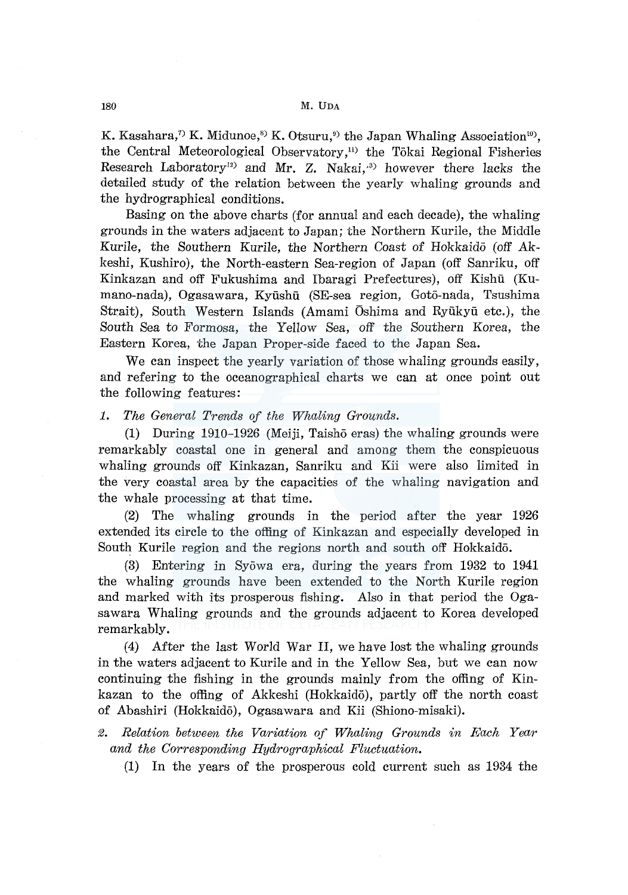K. Kasahara,<sup>7)</sup> K. Midunoe,<sup>8)</sup> K. Otsuru,<sup>9)</sup> the Japan Whaling Association<sup>10</sup>), the Central Meteorological Observatory,<sup>11)</sup> the Tōkai Regional Fisheries Research Laboratory<sup>12</sup> and Mr. Z. Nakai,<sup>33</sup> however there lacks the detailed study of the relation between the yearly whaling grounds and the hydrographical conditions.

Basing on the above charts (for annual and each decade), the whaling grounds in the waters adjacent to Japan; the Northern Kurile, the Middle Kurile, the Southern Kurile, the Northern Coast of Hokkaido (off Akkeshi, Kushiro), the North-eastern Sea-region of Japan (off Sanriku, off Kinkazan and off Fukushima and Ibaragi Prefectures), off Kishu (Kumano-nada), Ogasawara, Kyushu (SE-sea region, Got6-nada, Tsushima Strait), South Western Islands (Amami Oshima and Ryūkyū etc.), the South Sea to Formosa, the Yellow Sea, off the Southern Korea, the Eastern Korea, the Japan Proper-side faced to the Japan Sea.

We can inspect the yearly variation of those whaling grounds easily, and refering to the oceanographical charts we can at once point out the following features:

*1. The General Trends of the Whaling Grounds.* 

(1) During 1910-1926 (Meiji, Taisho eras) the whaling grounds were remarkably coastal one in general and among them the conspicuous whaling grounds off Kinkazan, Sanriku and Kii were also limited in the very coastal area by the capacities of the whaling navigation and the whale processing at that time.

(2) The whaling grounds in the period after the year 1926 extended its circle to the offing of Kinkazan and especially developed in South Kurile region and the regions north and south off Hokkaido.

(3) Entering in Syowa era, during the years from 1932 to 1941 the whaling grounds have been extended to the North Kurile region and marked with its prosperous fishing. Also in that period the Ogasawara Whaling grounds and the grounds adjacent to Korea developed remarkably.

(4) After the last World War II, we have lost the whaling grounds in the waters adjacent to Kurile and in the Yellow Sea, but we can now continuing the fishing in the grounds mainly from the offing of Kinkazan to the offing of Akkeshi (Hokkaido), partly off the north coast of Abashiri (Hokkaido), Ogasawara and Kii (Shiono-misaki).

- *2. Relation between the Variation of Whaling Grounds in Each Year and the Corresponding Hydrographical Fluctuation.* 
	- (1) In the years of the prosperous cold current such as 1934 the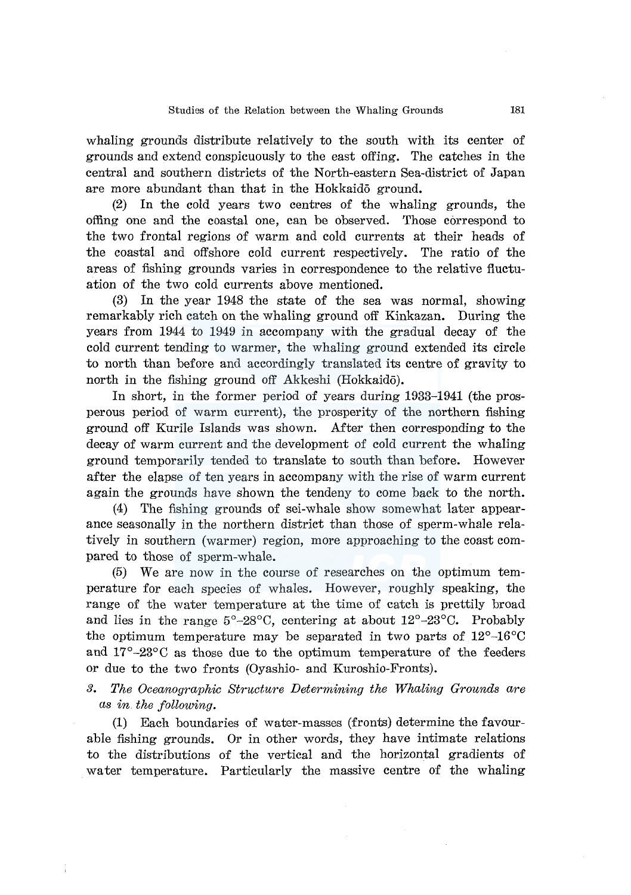whaling grounds distribute relatively to the south with its center of grounds and extend conspicuously to the east offing. The catches in the central and southern districts of the North-eastern Sea-district of Japan are more abundant than that in the Hokkaido ground.

(2) In the cold years two centres of the whaling grounds, the offing one and the coastal one, can be observed. Those correspond to the two frontal regions of warm and cold currents at their heads of the coastal and offshore cold current respectively. The ratio of the areas of fishing grounds varies in correspondence to the relative fluctuation of the two cold currents above mentioned.

(3) In the year 1948 the state of the sea was normal, showing remarkably rich catch on the whaling ground off Kinkazan. During the years from 1944 to 1949 in accompany with the gradual decay of the cold current tending to warmer, the whaling ground extended its circle to north than before and accordingly translated its centre of gravity to north in the fishing ground off Akkeshi (Hokkaido).

In short, in the former period of years during 1933-1941 (the prosperous period of warm current), the prosperity of the northern fishing ground off Kurile Islands was shown. After then corresponding to the decay of warm current and the development of cold current the whaling ground temporarily tended to translate to south than before. However after the elapse of ten years in accompany with the rise of warm current again the grounds have shown the tendeny to come back to the north.

(4) The fishing grounds of sei-whale show somewhat later appearance seasonally in the northern district than those of sperm-whale relatively in southern (warmer) region, more approaching to the coast compared to those of sperm-whale.

(5) We are now in the course of researches on the optimum temperature for each species of whales. However, roughly speaking, the range of the water temperature at the time of catch is prettily broad and lies in the range  $5^{\circ}$ -28 $^{\circ}$ C, centering at about  $12^{\circ}$ -23 $^{\circ}$ C. Probably the optimum temperature may be separated in two parts of  $12^{\circ}$ -16<sup>o</sup>C and  $17^{\circ}$ -23 $^{\circ}$ C as those due to the optimum temperature of the feeders or due to the two fronts (Oyashio- and Kuroshio-Fronts).

*3. The Oceanographic Structure Determining the Whaling Grounds are as in the following.* 

(1) Each boundaries of water-masses (fronts) determine the favourable fishing grounds. Or in other words, they have intimate relations to the distributions of the vertical and the horizontal gradients of water temperature. Particularly the massive centre of the whaling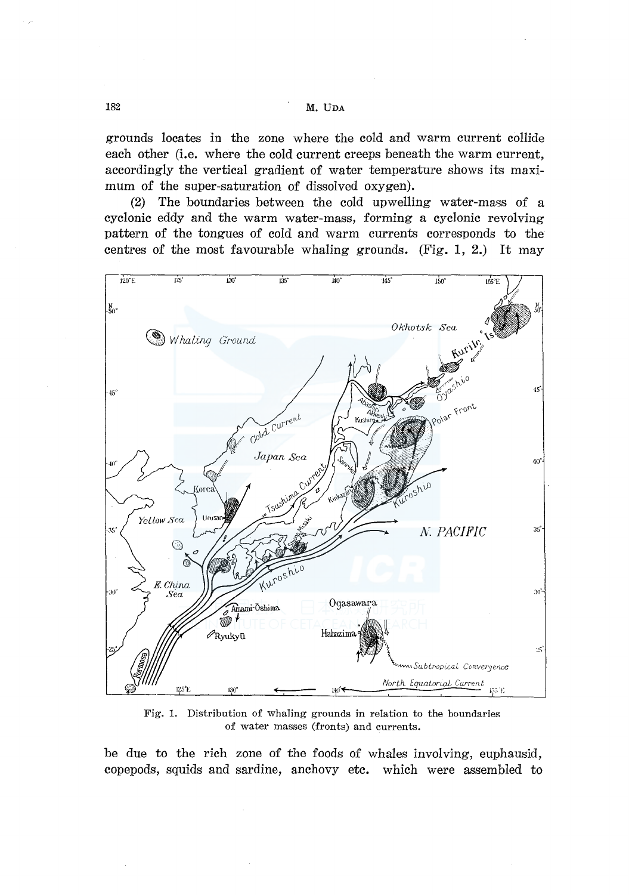# M. UDA

grounds locates in the zone where the cold and warm current collide each other (i.e. where the cold current creeps beneath the warm current, accordingly the vertical gradient of water temperature shows its maximum of the super-saturation of dissolved oxygen).

The boundaries between the cold upwelling water-mass of a  $(2)$ cyclonic eddy and the warm water-mass, forming a cyclonic revolving pattern of the tongues of cold and warm currents corresponds to the centres of the most favourable whaling grounds. (Fig. 1, 2.) It may



Fig. 1. Distribution of whaling grounds in relation to the boundaries of water masses (fronts) and currents.

be due to the rich zone of the foods of whales involving, euphausid, copepods, squids and sardine, anchovy etc. which were assembled to

182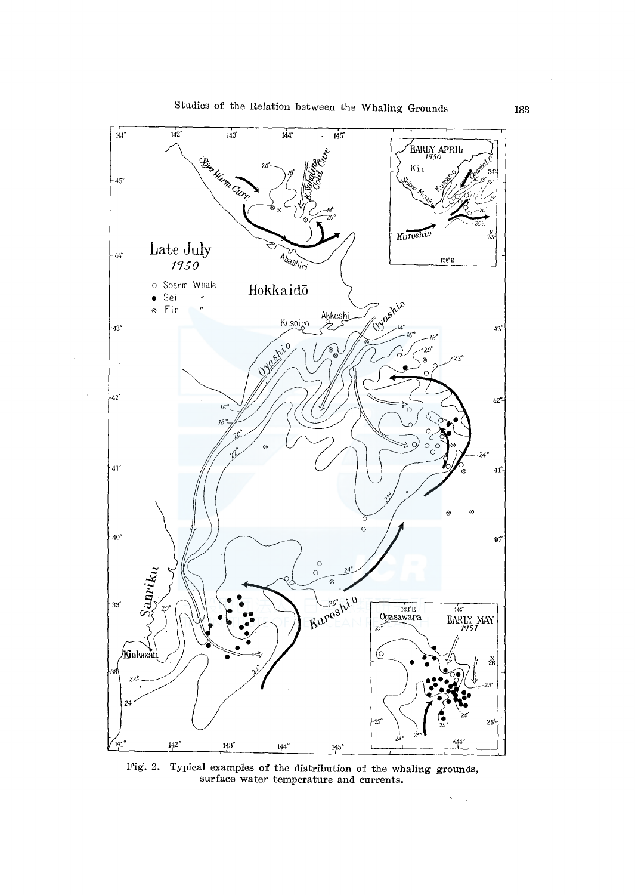

Fig. 2. Typical examples of the distribution of the whaling grounds, surface water temperature and currents.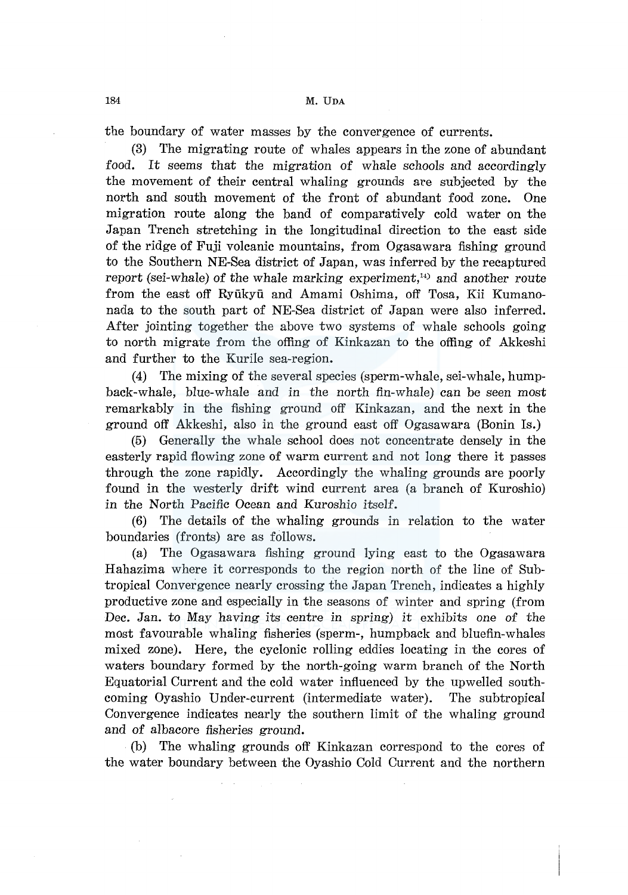the boundary of water masses by the convergence of currents.

(3) The migrating route of whales appears in the zone of abundant food. It seems that the migration of whale schools and accordingly the movement of their central whaling grounds are subjected by the north and south movement of the front of abundant food zone. One migration route along the band of comparatively cold water on the Japan Trench stretching in the longitudinal direction to the east side of the ridge of Fuji volcanic mountains, from Ogasawara fishing ground to the Southern NE-Sea district of Japan, was inferred by the recaptured report (sei-whale) of the whale marking experiment, $^{14}$  and another route from the east off Ryiikyii and Amami Oshima, off Tosa, Kii Kumanonada to the south part of NE-Sea district of Japan were also inferred. After jointing together the above two systems of whale schools going to north migrate from the offing of Kinkazan to the offing of Akkeshi and further to the Kurile sea-region.

(4) The mixing of the several species (sperm-whale, sei-whale, humpback-whale, blue-whale and in the north fin-whale) can be seen most remarkably in the fishing ground off Kinkazan, and the next in the ground off Akkeshi, also in the ground east off Ogasawara (Bonin Is.)

(5) Generally the whale school does not concentrate densely in the easterly rapid flowing zone of warm current and not long there it passes through the zone rapidly. Accordingly the whaling grounds are poorly found in the westerly drift wind current area (a branch of Kuroshio) in the North Pacific Ocean and Kuroshio itself.

(6) The details of the whaling grounds in relation to the water boundaries (fronts) are as follows.

(a) The Ogasawara fishing ground lying east to the Ogasawara Hahazima where it corresponds to the region north of the line of Subtropical Convergence nearly crossing the Japan Trench, indicates a highly productive zone and especially in the seasons of winter and spring (from Dec. Jan. to May having its centre in spring) it exhibits one of the most favourable whaling fisheries (sperm-, humpback and bluefin-whales mixed zone). Here, the cyclonic rolling eddies locating in the cores of waters boundary formed by the north-going warm branch of the North Equatorial Current and the cold water influenced by the upwelled southcoming Oyashio Under-current (intermediate water). The subtropical Convergence indicates nearly the southern limit of the whaling ground and of albacore fisheries ground.

(b) The whaling grounds off Kinkazan correspond to the cores of the water boundary between the Oyashio Cold Current and the northern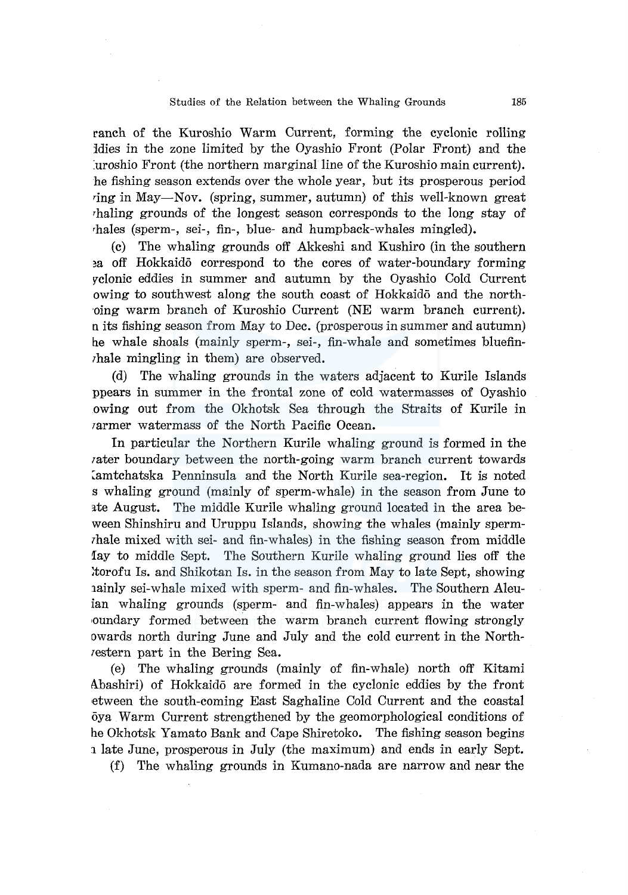#### Studies of the Relation between the Whaling Grounds 185

ranch of the Kuroshio Warm Current, forming the cyclonic rolling ldies in the zone limited by the Oyashio Front (Polar Front) and the :uroshio Front (the northern marginal line of the Kuroshio main current). he fishing season extends over the whole year, but its prosperous period ring in May-Nov. (spring, summer, autumn) of this well-known great rhaling grounds of the longest season corresponds to the long stay of rhales (sperm-, sei-, fin-, blue- and humpback-whales mingled).

(c) The whaling grounds off Akkeshi and Kushiro (in the southern ~a off Hokkaido correspond to the cores of water-boundary forming 17clonic eddies in summer and autumn by the Oyashio Cold Current owing to southwest along the south coast of Hokkaido and the north- ·oing warm branch of Kuroshio Current (NE warm branch current). nits fishing season from May to Dec. (prosperous in summer and autumn) he whale shoals (mainly sperm-, sei-, fin-whale and sometimes bluefinrhale mingling in them) are observed.

(d) The whaling grounds in the waters adjacent to Kurile Islands ppears in summer in the frontal zone of cold watermasses of Oyashio owing out from the Okhotsk Sea through the Straits of Kurile in rarmer watermass of the North Pacific Ocean.

In particular the Northern Kurile whaling ground is formed in the rater boundary between the north-going warm branch current towards Lamtchatska Penninsula and the North Kurile sea-region. It is noted s whaling ground (mainly of sperm-whale) in the season from June to ate August. The middle Kurile whaling ground located in the area beween Shinshiru and Uruppu Islands, showing the whales (mainly spermrhale mixed with sei- and fin-whales) in the fishing season from middle fay to middle Sept. The Southern Kurile whaling ground lies off the :torofu Is. and Shikotan Is. in the season from May to late Sept, showing rainly sei-whale mixed with sperm- and fin-whales. The Southern Aleuian whaling grounds (sperm- and fin-whales) appears in the water 1oundary formed between the warm branch current flowing strongly owards north during June and July and the cold current in the Northrestern part in the Bering Sea.

(e) The whaling grounds (mainly of fin-whale) north off Kitami Abashiri) of Hokkaido are formed in the cyclonic eddies by the front ·etween the south-coming East Saghaline Cold Current and the coastal oya Warm Current strengthened by the geomorphological conditions of he Okhotsk Yamato Bank and Cape Shiretoko. The fishing season begins 1 late June, prosperous in July (the maximum) and ends in early Sept.

(f) The whaling grounds in Kumano-nada are narrow and near the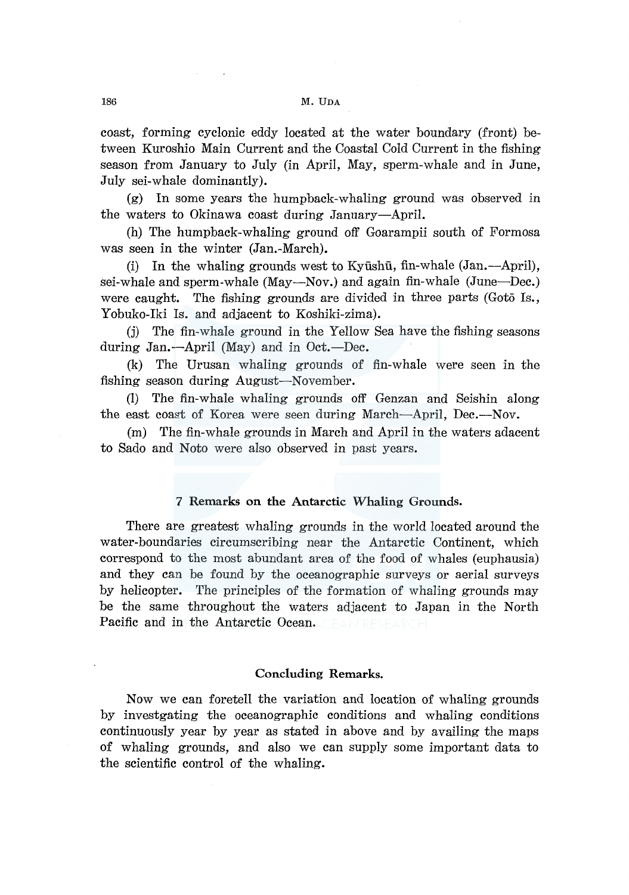coast, forming cyclonic eddy located at the water boundary (front) between Kuroshio Main Current and the Coastal Cold Current in the fishing season from January to July (in April, May, sperm-whale and in June, July sei-whale dominantly).

(g) In some years the humpback-whaling ground was observed in the waters to Okinawa coast during January-April.

(h) The humpback-whaling ground off Goarampii south of Formosa was seen in the winter (Jan.-March).

(i) In the whaling grounds west to Kyūshū, fin-whale  $(Jan, -April)$ , sei-whale and sperm-whale (May-Nov.) and again fin-whale (June-Dec.) were caught. The fishing grounds are divided in three parts (Goto Is., Yobuko-Iki Is. and adjacent to Koshiki-zima).

(j) The fin-whale ground in the Yellow Sea have the fishing seasons during Jan.-April (May) and in Oct.-Dec.

(k) The Urusan whaling grounds of fin-whale were seen in the fishing season during August-November.

(1) The fin-whale whaling grounds off Genzan and Seishin along the east coast of Korea were seen during March-April, Dec.--Nov.

(m) The fin-whale grounds in March and April in the waters adacent to Sado and Noto were also observed in past years.

# **7 Remarks on the Antarctic Whaling Grounds.**

There are greatest whaling grounds in the world located around the water-boundaries circumscribing near the Antarctic Continent, which correspond to the most abundant area of the food of whales (euphausia) and they can be found by the oceanographic surveys or aerial surveys by helicopter. The principles of the formation of whaling grounds may be the same throughout the waters adjacent to Japan in the North Pacific and in the Antarctic Ocean.

## **Concluding Remarks.**

Now we can foretell the variation and location of whaling grounds by investgating the oceanographic conditions and whaling conditions continuously year by year as stated in above and by availing the maps of whaling grounds, and also we can supply some important data to the scientific control of the whaling.